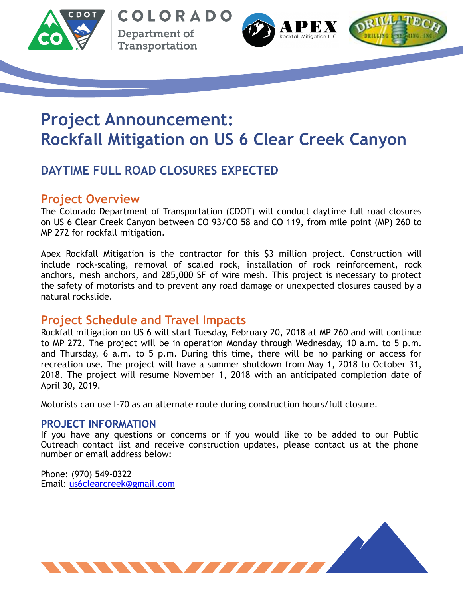

COLORADO Department of Transportation





# **Project Announcement: Rockfall Mitigation on US 6 Clear Creek Canyon**

## **DAYTIME FULL ROAD CLOSURES EXPECTED**

### **Project Overview**

The Colorado Department of Transportation (CDOT) will conduct daytime full road closures on US 6 Clear Creek Canyon between CO 93/CO 58 and CO 119, from mile point (MP) 260 to MP 272 for rockfall mitigation.

Apex Rockfall Mitigation is the contractor for this \$3 million project. Construction will include rock-scaling, removal of scaled rock, installation of rock reinforcement, rock anchors, mesh anchors, and 285,000 SF of wire mesh. This project is necessary to protect the safety of motorists and to prevent any road damage or unexpected closures caused by a natural rockslide.

#### **Project Schedule and Travel Impacts**

Rockfall mitigation on US 6 will start Tuesday, February 20, 2018 at MP 260 and will continue to MP 272. The project will be in operation Monday through Wednesday, 10 a.m. to 5 p.m. and Thursday, 6 a.m. to 5 p.m. During this time, there will be no parking or access for recreation use. The project will have a summer shutdown from May 1, 2018 to October 31, 2018. The project will resume November 1, 2018 with an anticipated completion date of April 30, 2019.

Motorists can use I-70 as an alternate route during construction hours/full closure.

#### **PROJECT INFORMATION**

If you have any questions or concerns or if you would like to be added to our Public Outreach contact list and receive construction updates, please contact us at the phone number or email address below:

Phone: (970) 549-0322 Email: [us6clearcreek@gmail.com](mailto:us6clearcreek@gmail.com)